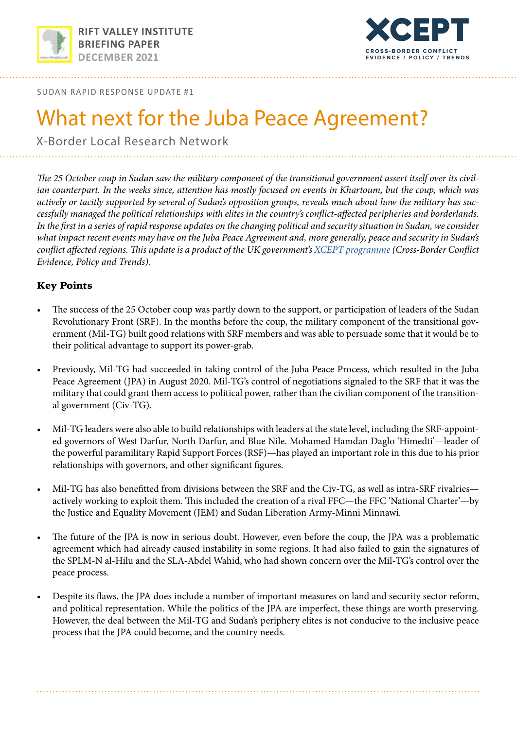



SUDAN RAPID RESPONSE UPDATE #1

# What next for the Juba Peace Agreement?

X-Border Local Research Network

*The 25 October coup in Sudan saw the military component of the transitional government assert itself over its civilian counterpart. In the weeks since, attention has mostly focused on events in Khartoum, but the coup, which was actively or tacitly supported by several of Sudan's opposition groups, reveals much about how the military has successfully managed the political relationships with elites in the country's conflict-affected peripheries and borderlands.*  In the first in a series of rapid response updates on the changing political and security situation in Sudan, we consider *what impact recent events may have on the Juba Peace Agreement and, more generally, peace and security in Sudan's conflict affected regions. This update is a product of the UK government's [XCEPT programme \(](http://https://xcept-research.org/)Cross-Border Conflict Evidence, Policy and Trends).* 

# Key Points

- The success of the 25 October coup was partly down to the support, or participation of leaders of the Sudan Revolutionary Front (SRF). In the months before the coup, the military component of the transitional government (Mil-TG) built good relations with SRF members and was able to persuade some that it would be to their political advantage to support its power-grab.
- Previously, Mil-TG had succeeded in taking control of the Juba Peace Process, which resulted in the Juba Peace Agreement (JPA) in August 2020. Mil-TG's control of negotiations signaled to the SRF that it was the military that could grant them access to political power, rather than the civilian component of the transitional government (Civ-TG).
- Mil-TG leaders were also able to build relationships with leaders at the state level, including the SRF-appointed governors of West Darfur, North Darfur, and Blue Nile. Mohamed Hamdan Daglo 'Himedti'—leader of the powerful paramilitary Rapid Support Forces (RSF)—has played an important role in this due to his prior relationships with governors, and other significant figures.
- Mil-TG has also benefitted from divisions between the SRF and the Civ-TG, as well as intra-SRF rivalries actively working to exploit them. This included the creation of a rival FFC—the FFC 'National Charter'—by the Justice and Equality Movement (JEM) and Sudan Liberation Army-Minni Minnawi.
- The future of the JPA is now in serious doubt. However, even before the coup, the JPA was a problematic agreement which had already caused instability in some regions. It had also failed to gain the signatures of the SPLM-N al-Hilu and the SLA-Abdel Wahid, who had shown concern over the Mil-TG's control over the peace process.
- Despite its flaws, the JPA does include a number of important measures on land and security sector reform, and political representation. While the politics of the JPA are imperfect, these things are worth preserving. However, the deal between the Mil-TG and Sudan's periphery elites is not conducive to the inclusive peace process that the JPA could become, and the country needs.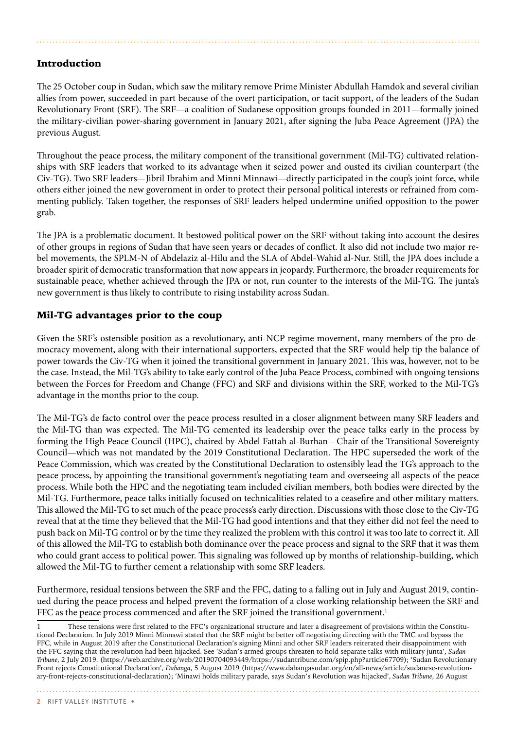# Introduction

The 25 October coup in Sudan, which saw the military remove Prime Minister Abdullah Hamdok and several civilian allies from power, succeeded in part because of the overt participation, or tacit support, of the leaders of the Sudan Revolutionary Front (SRF). The SRF—a coalition of Sudanese opposition groups founded in 2011—formally joined the military-civilian power-sharing government in January 2021, after signing the Juba Peace Agreement (JPA) the previous August.

Throughout the peace process, the military component of the transitional government (Mil-TG) cultivated relationships with SRF leaders that worked to its advantage when it seized power and ousted its civilian counterpart (the Civ-TG). Two SRF leaders—Jibril Ibrahim and Minni Minnawi—directly participated in the coup's joint force, while others either joined the new government in order to protect their personal political interests or refrained from commenting publicly. Taken together, the responses of SRF leaders helped undermine unified opposition to the power grab.

The JPA is a problematic document. It bestowed political power on the SRF without taking into account the desires of other groups in regions of Sudan that have seen years or decades of conflict. It also did not include two major rebel movements, the SPLM-N of Abdelaziz al-Hilu and the SLA of Abdel-Wahid al-Nur. Still, the JPA does include a broader spirit of democratic transformation that now appears in jeopardy. Furthermore, the broader requirements for sustainable peace, whether achieved through the JPA or not, run counter to the interests of the Mil-TG. The junta's new government is thus likely to contribute to rising instability across Sudan.

# Mil-TG advantages prior to the coup

Given the SRF's ostensible position as a revolutionary, anti-NCP regime movement, many members of the pro-democracy movement, along with their international supporters, expected that the SRF would help tip the balance of power towards the Civ-TG when it joined the transitional government in January 2021. This was, however, not to be the case. Instead, the Mil-TG's ability to take early control of the Juba Peace Process, combined with ongoing tensions between the Forces for Freedom and Change (FFC) and SRF and divisions within the SRF, worked to the Mil-TG's advantage in the months prior to the coup.

The Mil-TG's de facto control over the peace process resulted in a closer alignment between many SRF leaders and the Mil-TG than was expected. The Mil-TG cemented its leadership over the peace talks early in the process by forming the High Peace Council (HPC), chaired by Abdel Fattah al-Burhan—Chair of the Transitional Sovereignty Council—which was not mandated by the 2019 Constitutional Declaration. The HPC superseded the work of the Peace Commission, which was created by the Constitutional Declaration to ostensibly lead the TG's approach to the peace process, by appointing the transitional government's negotiating team and overseeing all aspects of the peace process. While both the HPC and the negotiating team included civilian members, both bodies were directed by the Mil-TG. Furthermore, peace talks initially focused on technicalities related to a ceasefire and other military matters. This allowed the Mil-TG to set much of the peace process's early direction. Discussions with those close to the Civ-TG reveal that at the time they believed that the Mil-TG had good intentions and that they either did not feel the need to push back on Mil-TG control or by the time they realized the problem with this control it was too late to correct it. All of this allowed the Mil-TG to establish both dominance over the peace process and signal to the SRF that it was them who could grant access to political power. This signaling was followed up by months of relationship-building, which allowed the Mil-TG to further cement a relationship with some SRF leaders.

Furthermore, residual tensions between the SRF and the FFC, dating to a falling out in July and August 2019, continued during the peace process and helped prevent the formation of a close working relationship between the SRF and FFC as the peace process commenced and after the SRF joined the transitional government.<sup>1</sup>

**2** RIFT VALLEY INSTITUTE •

These tensions were first related to the FFC's organizational structure and later a disagreement of provisions within the Constitutional Declaration. In July 2019 Minni Minnawi stated that the SRF might be better off negotiating directing with the TMC and bypass the FFC, while in August 2019 after the Constitutional Declaration's signing Minni and other SRF leaders reiterated their disappointment with the FFC saying that the revolution had been hijacked. See 'Sudan's armed groups threaten to hold separate talks with military junta', *Sudan Tribune*, 2 July 2019. (https://web.archive.org/web/20190704093449/https://sudantribune.com/spip.php?article67709); 'Sudan Revolutionary Front rejects Constitutional Declaration', *Dabanga*, 5 August 2019 (https://www.dabangasudan.org/en/all-news/article/sudanese-revolutionary-front-rejects-constitutional-declaration); 'Minawi holds military parade, says Sudan's Revolution was hijacked', *Sudan Tribune*, 26 August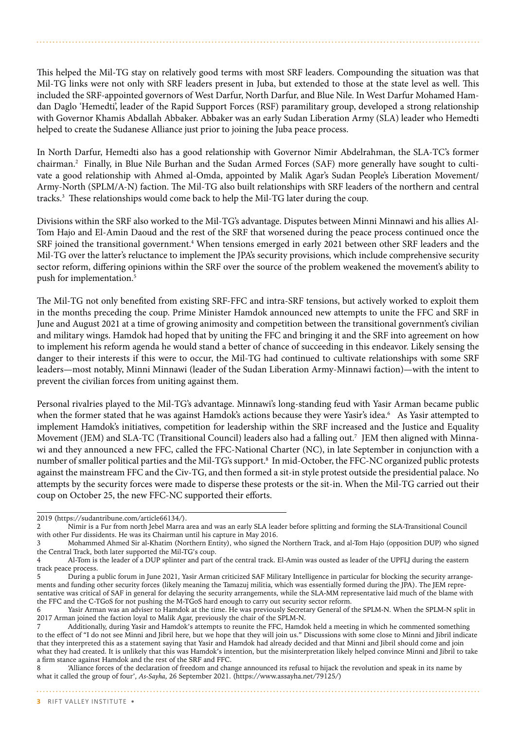This helped the Mil-TG stay on relatively good terms with most SRF leaders. Compounding the situation was that Mil-TG links were not only with SRF leaders present in Juba, but extended to those at the state level as well. This included the SRF-appointed governors of West Darfur, North Darfur, and Blue Nile. In West Darfur Mohamed Hamdan Daglo 'Hemedti', leader of the Rapid Support Forces (RSF) paramilitary group, developed a strong relationship with Governor Khamis Abdallah Abbaker. Abbaker was an early Sudan Liberation Army (SLA) leader who Hemedti helped to create the Sudanese Alliance just prior to joining the Juba peace process.

In North Darfur, Hemedti also has a good relationship with Governor Nimir Abdelrahman, the SLA-TC's former chairman.2 Finally, in Blue Nile Burhan and the Sudan Armed Forces (SAF) more generally have sought to cultivate a good relationship with Ahmed al-Omda, appointed by Malik Agar's Sudan People's Liberation Movement/ Army-North (SPLM/A-N) faction. The Mil-TG also built relationships with SRF leaders of the northern and central tracks.3 These relationships would come back to help the Mil-TG later during the coup.

Divisions within the SRF also worked to the Mil-TG's advantage. Disputes between Minni Minnawi and his allies Al-Tom Hajo and El-Amin Daoud and the rest of the SRF that worsened during the peace process continued once the SRF joined the transitional government.<sup>4</sup> When tensions emerged in early 2021 between other SRF leaders and the Mil-TG over the latter's reluctance to implement the JPA's security provisions, which include comprehensive security sector reform, differing opinions within the SRF over the source of the problem weakened the movement's ability to push for implementation.5

The Mil-TG not only benefited from existing SRF-FFC and intra-SRF tensions, but actively worked to exploit them in the months preceding the coup. Prime Minister Hamdok announced new attempts to unite the FFC and SRF in June and August 2021 at a time of growing animosity and competition between the transitional government's civilian and military wings. Hamdok had hoped that by uniting the FFC and bringing it and the SRF into agreement on how to implement his reform agenda he would stand a better of chance of succeeding in this endeavor. Likely sensing the danger to their interests if this were to occur, the Mil-TG had continued to cultivate relationships with some SRF leaders—most notably, Minni Minnawi (leader of the Sudan Liberation Army-Minnawi faction)—with the intent to prevent the civilian forces from uniting against them.

Personal rivalries played to the Mil-TG's advantage. Minnawi's long-standing feud with Yasir Arman became public when the former stated that he was against Hamdok's actions because they were Yasir's idea.<sup>6</sup> As Yasir attempted to implement Hamdok's initiatives, competition for leadership within the SRF increased and the Justice and Equality Movement (JEM) and SLA-TC (Transitional Council) leaders also had a falling out.<sup>7</sup> JEM then aligned with Minnawi and they announced a new FFC, called the FFC-National Charter (NC), in late September in conjunction with a number of smaller political parties and the Mil-TG's support.8 In mid-October, the FFC-NC organized public protests against the mainstream FFC and the Civ-TG, and then formed a sit-in style protest outside the presidential palace. No attempts by the security forces were made to disperse these protests or the sit-in. When the Mil-TG carried out their coup on October 25, the new FFC-NC supported their efforts.

<sup>2019 (</sup>https://sudantribune.com/article66134/).<br>2 Mimir is a Fur from north Jebel Marra a

<sup>2</sup> Nimir is a Fur from north Jebel Marra area and was an early SLA leader before splitting and forming the SLA-Transitional Council with other Fur dissidents. He was its Chairman until his capture in May 2016.

<sup>3</sup> Mohammed Ahmed Sir al-Khatim (Northern Entity), who signed the Northern Track, and al-Tom Hajo (opposition DUP) who signed the Central Track, both later supported the Mil-TG's coup.

<sup>4</sup> Al-Tom is the leader of a DUP splinter and part of the central track. El-Amin was ousted as leader of the UPFLJ during the eastern track peace process.<br>5 During a

During a public forum in June 2021, Yasir Arman criticized SAF Military Intelligence in particular for blocking the security arrangements and funding other security forces (likely meaning the Tamazuj militia, which was essentially formed during the JPA). The JEM representative was critical of SAF in general for delaying the security arrangements, while the SLA-MM representative laid much of the blame with the FFC and the C-TGoS for not pushing the M-TGoS hard enough to carry out security sector reform.<br>6 Yasir Arman was an adviser to Hamdok at the time. He was previously Secretary General of

Yasir Arman was an adviser to Hamdok at the time. He was previously Secretary General of the SPLM-N. When the SPLM-N split in 2017 Arman joined the faction loyal to Malik Agar, previously the chair of the SPLM-N.

Additionally, during Yasir and Hamdok's attempts to reunite the FFC, Hamdok held a meeting in which he commented something to the effect of "I do not see Minni and Jibril here, but we hope that they will join us." Discussions with some close to Minni and Jibril indicate that they interpreted this as a statement saying that Yasir and Hamdok had already decided and that Minni and Jibril should come and join what they had created. It is unlikely that this was Hamdok's intention, but the misinterpretation likely helped convince Minni and Jibril to take a firm stance against Hamdok and the rest of the SRF and FFC.

<sup>8 &#</sup>x27;Alliance forces of the declaration of freedom and change announced its refusal to hijack the revolution and speak in its name by what it called the group of four', *As-Sayha*, 26 September 2021. (https://www.assayha.net/79125/)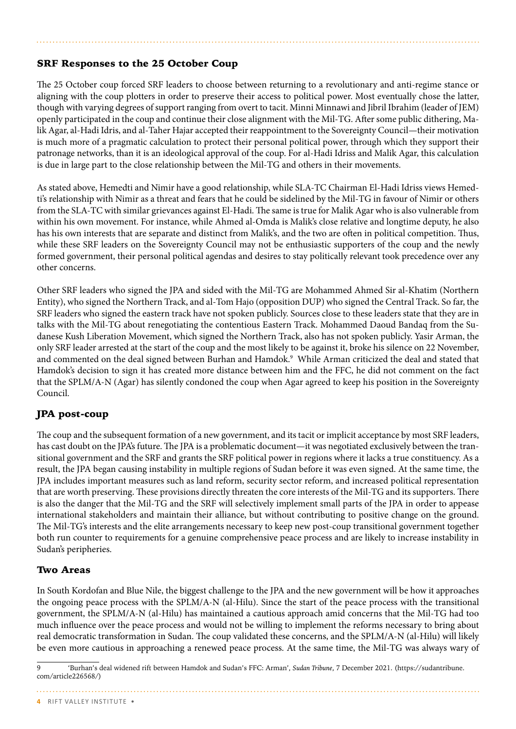# SRF Responses to the 25 October Coup

The 25 October coup forced SRF leaders to choose between returning to a revolutionary and anti-regime stance or aligning with the coup plotters in order to preserve their access to political power. Most eventually chose the latter, though with varying degrees of support ranging from overt to tacit. Minni Minnawi and Jibril Ibrahim (leader of JEM) openly participated in the coup and continue their close alignment with the Mil-TG. After some public dithering, Malik Agar, al-Hadi Idris, and al-Taher Hajar accepted their reappointment to the Sovereignty Council—their motivation is much more of a pragmatic calculation to protect their personal political power, through which they support their patronage networks, than it is an ideological approval of the coup. For al-Hadi Idriss and Malik Agar, this calculation is due in large part to the close relationship between the Mil-TG and others in their movements.

As stated above, Hemedti and Nimir have a good relationship, while SLA-TC Chairman El-Hadi Idriss views Hemedti's relationship with Nimir as a threat and fears that he could be sidelined by the Mil-TG in favour of Nimir or others from the SLA-TC with similar grievances against El-Hadi. The same is true for Malik Agar who is also vulnerable from within his own movement. For instance, while Ahmed al-Omda is Malik's close relative and longtime deputy, he also has his own interests that are separate and distinct from Malik's, and the two are often in political competition. Thus, while these SRF leaders on the Sovereignty Council may not be enthusiastic supporters of the coup and the newly formed government, their personal political agendas and desires to stay politically relevant took precedence over any other concerns.

Other SRF leaders who signed the JPA and sided with the Mil-TG are Mohammed Ahmed Sir al-Khatim (Northern Entity), who signed the Northern Track, and al-Tom Hajo (opposition DUP) who signed the Central Track. So far, the SRF leaders who signed the eastern track have not spoken publicly. Sources close to these leaders state that they are in talks with the Mil-TG about renegotiating the contentious Eastern Track. Mohammed Daoud Bandaq from the Sudanese Kush Liberation Movement, which signed the Northern Track, also has not spoken publicly. Yasir Arman, the only SRF leader arrested at the start of the coup and the most likely to be against it, broke his silence on 22 November, and commented on the deal signed between Burhan and Hamdok.<sup>9</sup> While Arman criticized the deal and stated that Hamdok's decision to sign it has created more distance between him and the FFC, he did not comment on the fact that the SPLM/A-N (Agar) has silently condoned the coup when Agar agreed to keep his position in the Sovereignty Council.

# JPA post-coup

The coup and the subsequent formation of a new government, and its tacit or implicit acceptance by most SRF leaders, has cast doubt on the JPA's future. The JPA is a problematic document—it was negotiated exclusively between the transitional government and the SRF and grants the SRF political power in regions where it lacks a true constituency. As a result, the JPA began causing instability in multiple regions of Sudan before it was even signed. At the same time, the JPA includes important measures such as land reform, security sector reform, and increased political representation that are worth preserving. These provisions directly threaten the core interests of the Mil-TG and its supporters. There is also the danger that the Mil-TG and the SRF will selectively implement small parts of the JPA in order to appease international stakeholders and maintain their alliance, but without contributing to positive change on the ground. The Mil-TG's interests and the elite arrangements necessary to keep new post-coup transitional government together both run counter to requirements for a genuine comprehensive peace process and are likely to increase instability in Sudan's peripheries.

## Two Areas

In South Kordofan and Blue Nile, the biggest challenge to the JPA and the new government will be how it approaches the ongoing peace process with the SPLM/A-N (al-Hilu). Since the start of the peace process with the transitional government, the SPLM/A-N (al-Hilu) has maintained a cautious approach amid concerns that the Mil-TG had too much influence over the peace process and would not be willing to implement the reforms necessary to bring about real democratic transformation in Sudan. The coup validated these concerns, and the SPLM/A-N (al-Hilu) will likely be even more cautious in approaching a renewed peace process. At the same time, the Mil-TG was always wary of

<sup>9 &#</sup>x27;Burhan's deal widened rift between Hamdok and Sudan's FFC: Arman', *Sudan Tribune*, 7 December 2021. (https://sudantribune. com/article226568/)

**<sup>4</sup>** RIFT VALLEY INSTITUTE •